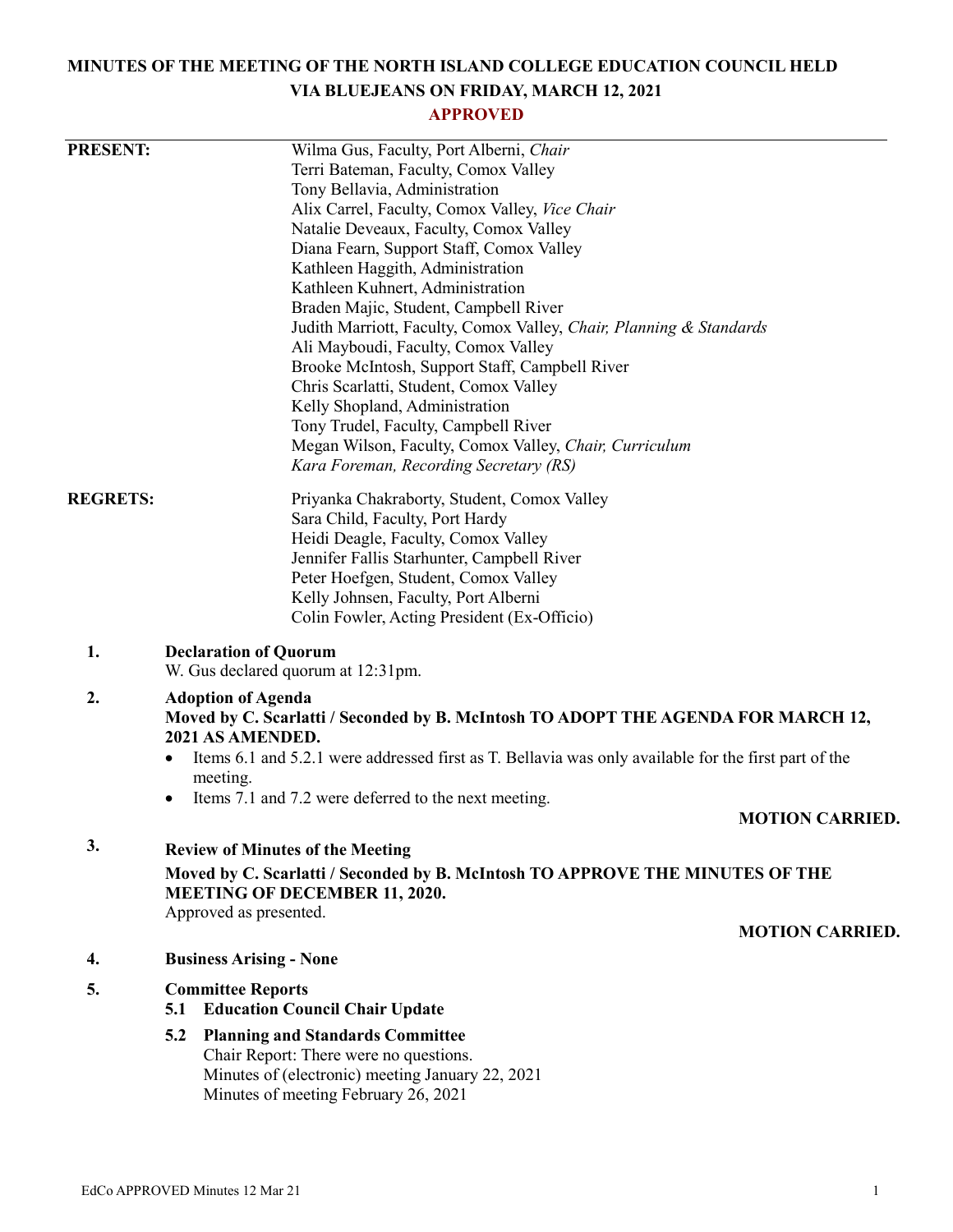# **MINUTES OF THE MEETING OF THE NORTH ISLAND COLLEGE EDUCATION COUNCIL HELD VIA BLUEJEANS ON FRIDAY, MARCH 12, 2021**

## **APPROVED**

| <b>PRESENT:</b> |                                    | Wilma Gus, Faculty, Port Alberni, Chair                                                                        |                        |
|-----------------|------------------------------------|----------------------------------------------------------------------------------------------------------------|------------------------|
|                 |                                    | Terri Bateman, Faculty, Comox Valley                                                                           |                        |
|                 |                                    | Tony Bellavia, Administration                                                                                  |                        |
|                 |                                    | Alix Carrel, Faculty, Comox Valley, Vice Chair                                                                 |                        |
|                 |                                    | Natalie Deveaux, Faculty, Comox Valley                                                                         |                        |
|                 |                                    | Diana Fearn, Support Staff, Comox Valley                                                                       |                        |
|                 |                                    | Kathleen Haggith, Administration                                                                               |                        |
|                 |                                    | Kathleen Kuhnert, Administration                                                                               |                        |
|                 |                                    | Braden Majic, Student, Campbell River                                                                          |                        |
|                 |                                    | Judith Marriott, Faculty, Comox Valley, Chair, Planning & Standards                                            |                        |
|                 |                                    | Ali Mayboudi, Faculty, Comox Valley                                                                            |                        |
|                 |                                    | Brooke McIntosh, Support Staff, Campbell River<br>Chris Scarlatti, Student, Comox Valley                       |                        |
|                 |                                    | Kelly Shopland, Administration                                                                                 |                        |
|                 |                                    | Tony Trudel, Faculty, Campbell River                                                                           |                        |
|                 |                                    | Megan Wilson, Faculty, Comox Valley, Chair, Curriculum                                                         |                        |
|                 |                                    | Kara Foreman, Recording Secretary (RS)                                                                         |                        |
| <b>REGRETS:</b> |                                    | Priyanka Chakraborty, Student, Comox Valley                                                                    |                        |
|                 |                                    | Sara Child, Faculty, Port Hardy                                                                                |                        |
|                 |                                    | Heidi Deagle, Faculty, Comox Valley                                                                            |                        |
|                 |                                    | Jennifer Fallis Starhunter, Campbell River                                                                     |                        |
|                 |                                    | Peter Hoefgen, Student, Comox Valley                                                                           |                        |
|                 |                                    | Kelly Johnsen, Faculty, Port Alberni                                                                           |                        |
|                 |                                    | Colin Fowler, Acting President (Ex-Officio)                                                                    |                        |
| 1.              | <b>Declaration of Quorum</b>       |                                                                                                                |                        |
|                 | W. Gus declared quorum at 12:31pm. |                                                                                                                |                        |
| 2.              | <b>Adoption of Agenda</b>          |                                                                                                                |                        |
|                 | 2021 AS AMENDED.                   | Moved by C. Scarlatti / Seconded by B. McIntosh TO ADOPT THE AGENDA FOR MARCH 12,                              |                        |
|                 | meeting.                           | Items 6.1 and 5.2.1 were addressed first as T. Bellavia was only available for the first part of the           |                        |
|                 | ٠                                  | Items 7.1 and 7.2 were deferred to the next meeting.                                                           |                        |
|                 |                                    |                                                                                                                | <b>MOTION CARRIED.</b> |
| 3.              |                                    | <b>Review of Minutes of the Meeting</b>                                                                        |                        |
|                 |                                    | Moved by C. Scarlatti / Seconded by B. McIntosh TO APPROVE THE MINUTES OF THE<br>MEETING OF DECEMBER 11, 2020. |                        |
|                 | Approved as presented.             |                                                                                                                |                        |
|                 |                                    |                                                                                                                | <b>MOTION CARRIED.</b> |
| 4.              | <b>Business Arising - None</b>     |                                                                                                                |                        |
| 5.              | <b>Committee Reports</b>           |                                                                                                                |                        |
|                 | 5.1                                | <b>Education Council Chair Update</b>                                                                          |                        |
|                 | 5.2                                | <b>Planning and Standards Committee</b>                                                                        |                        |
|                 |                                    | Chair Report: There were no questions.                                                                         |                        |
|                 |                                    | Minutes of (electronic) meeting January 22, 2021                                                               |                        |
|                 |                                    | Minutes of meeting February 26, 2021                                                                           |                        |
|                 |                                    |                                                                                                                |                        |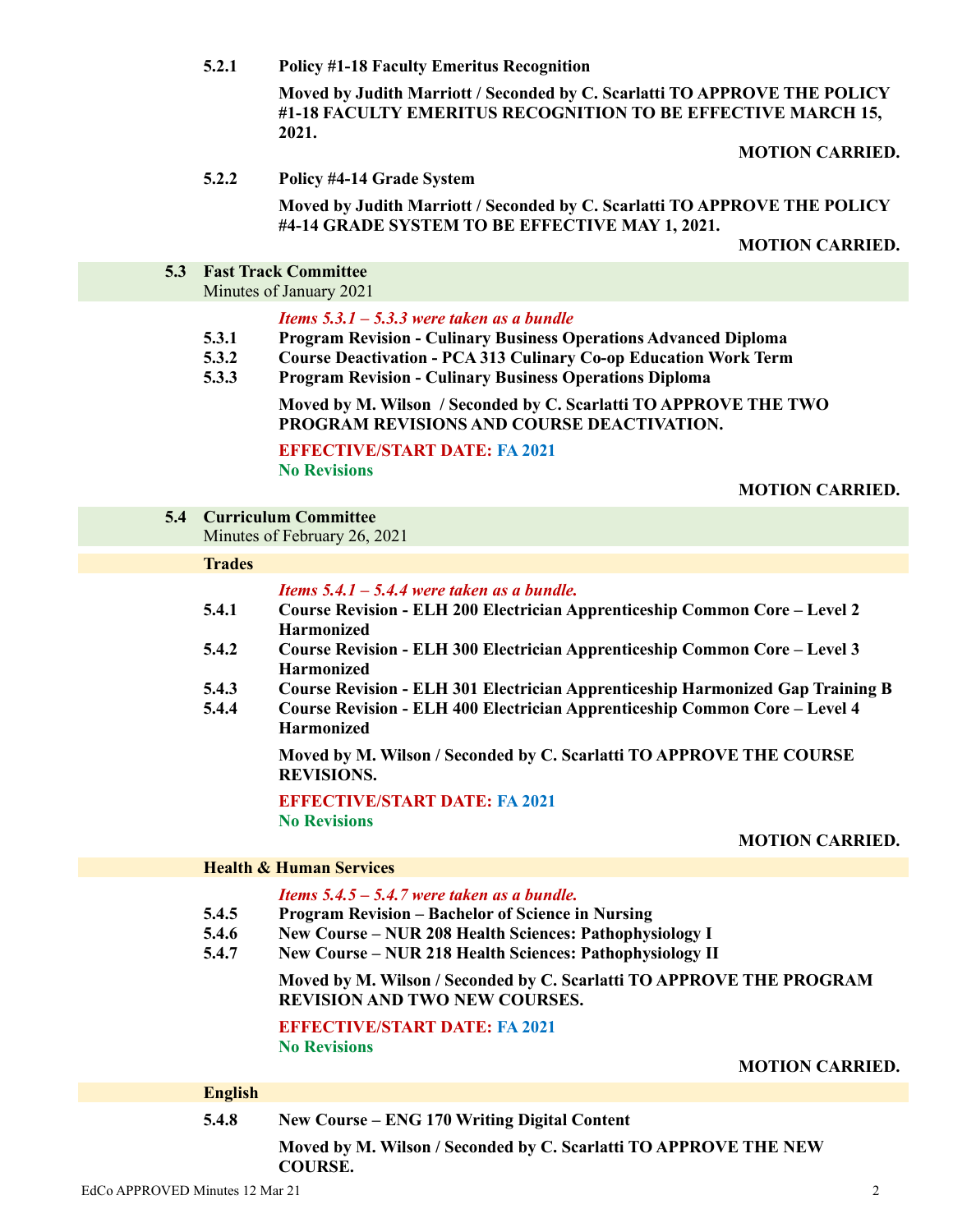**5.2.1 Policy #1-18 Faculty Emeritus Recognition**

**Moved by Judith Marriott / Seconded by C. Scarlatti TO APPROVE THE POLICY #1-18 FACULTY EMERITUS RECOGNITION TO BE EFFECTIVE MARCH 15, 2021.**

#### **MOTION CARRIED.**

#### **5.2.2 Policy #4-14 Grade System**

**Moved by Judith Marriott / Seconded by C. Scarlatti TO APPROVE THE POLICY #4-14 GRADE SYSTEM TO BE EFFECTIVE MAY 1, 2021.**

**MOTION CARRIED.**

#### **5.3 Fast Track Committee**

Minutes of January 2021

#### *Items 5.3.1 – 5.3.3 were taken as a bundle*

- **5.3.1 Program Revision - Culinary Business Operations Advanced Diploma**
- **5.3.2 Course Deactivation - PCA 313 Culinary Co-op Education Work Term**
- **5.3.3 Program Revision - Culinary Business Operations Diploma**

**Moved by M. Wilson / Seconded by C. Scarlatti TO APPROVE THE TWO PROGRAM REVISIONS AND COURSE DEACTIVATION.**

## **EFFECTIVE/START DATE: FA 2021**

**No Revisions**

### **MOTION CARRIED.**

## **5.4 Curriculum Committee**

Minutes of February 26, 2021

#### **Trades**

- *Items 5.4.1 – 5.4.4 were taken as a bundle.*
- **5.4.1 Course Revision - ELH 200 Electrician Apprenticeship Common Core – Level 2 Harmonized**
- **5.4.2 Course Revision - ELH 300 Electrician Apprenticeship Common Core – Level 3 Harmonized**
- **5.4.3 Course Revision - ELH 301 Electrician Apprenticeship Harmonized Gap Training B**
- **5.4.4 Course Revision - ELH 400 Electrician Apprenticeship Common Core – Level 4 Harmonized**

**Moved by M. Wilson / Seconded by C. Scarlatti TO APPROVE THE COURSE REVISIONS.**

**EFFECTIVE/START DATE: FA 2021 No Revisions**

#### **MOTION CARRIED.**

## **Health & Human Services**

| Items $5.4.5 - 5.4.7$ were taken as a bundle. |
|-----------------------------------------------|
|-----------------------------------------------|

- **5.4.5 Program Revision – Bachelor of Science in Nursing**
- **5.4.6 New Course – NUR 208 Health Sciences: Pathophysiology I**
- **5.4.7 New Course – NUR 218 Health Sciences: Pathophysiology II**

**Moved by M. Wilson / Seconded by C. Scarlatti TO APPROVE THE PROGRAM REVISION AND TWO NEW COURSES.**

#### **EFFECTIVE/START DATE: FA 2021 No Revisions**

## **MOTION CARRIED.**

#### **English**

**5.4.8 New Course – ENG 170 Writing Digital Content Moved by M. Wilson / Seconded by C. Scarlatti TO APPROVE THE NEW COURSE.**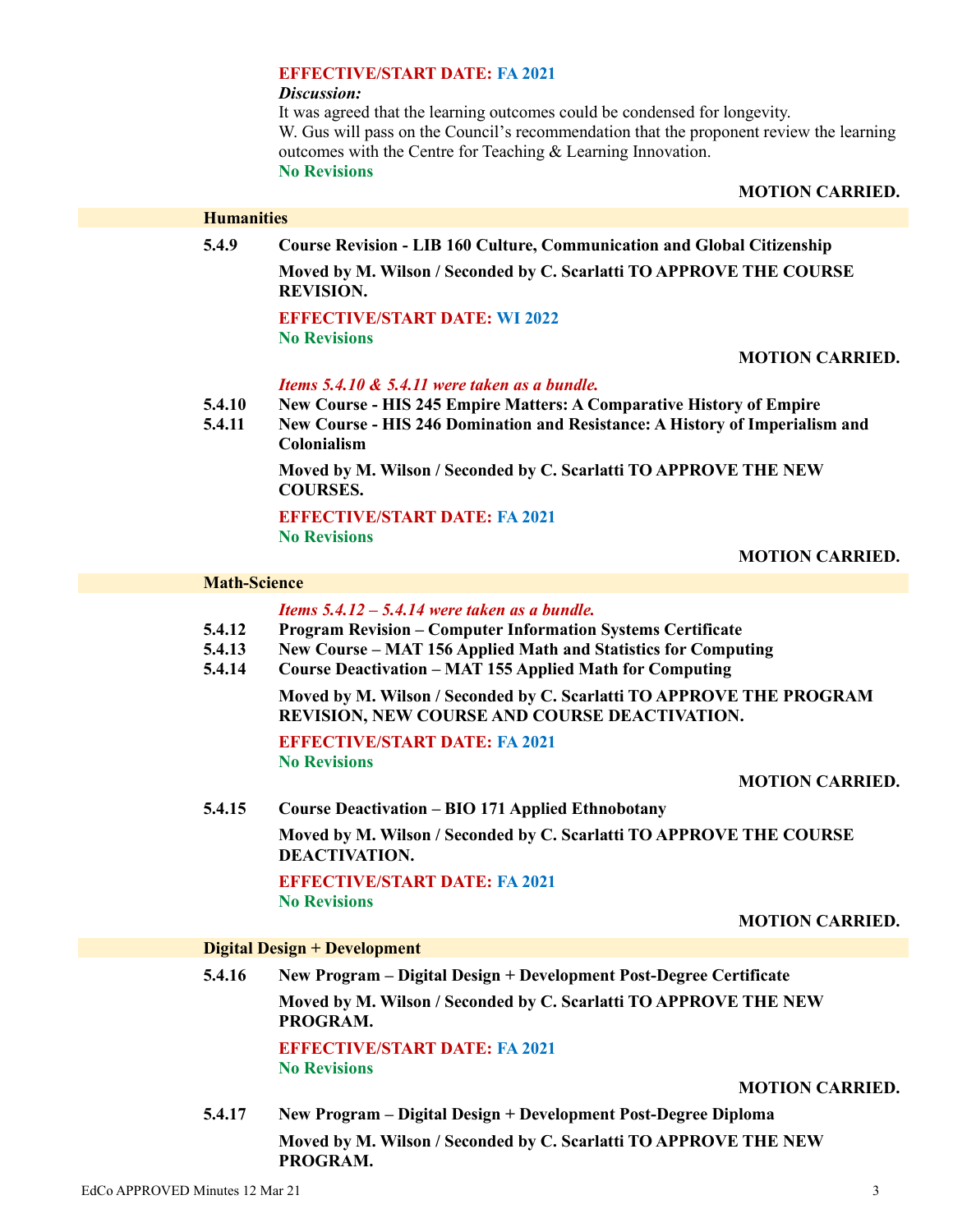## **EFFECTIVE/START DATE: FA 2021**

#### *Discussion:*

It was agreed that the learning outcomes could be condensed for longevity. W. Gus will pass on the Council's recommendation that the proponent review the learning outcomes with the Centre for Teaching & Learning Innovation. **No Revisions**

## **MOTION CARRIED.**

#### **Humanities**

**5.4.9 Course Revision - LIB 160 Culture, Communication and Global Citizenship Moved by M. Wilson / Seconded by C. Scarlatti TO APPROVE THE COURSE REVISION.**

> **EFFECTIVE/START DATE: WI 2022 No Revisions**

## **MOTION CARRIED.**

## *Items 5.4.10 & 5.4.11 were taken as a bundle.*

- **5.4.10 New Course - HIS 245 Empire Matters: A Comparative History of Empire**
- **5.4.11 New Course - HIS 246 Domination and Resistance: A History of Imperialism and Colonialism**

**Moved by M. Wilson / Seconded by C. Scarlatti TO APPROVE THE NEW COURSES.**

**EFFECTIVE/START DATE: FA 2021 No Revisions**

### **MOTION CARRIED.**

#### **Math-Science**

*Items 5.4.12 – 5.4.14 were taken as a bundle.*

- **5.4.12 Program Revision – Computer Information Systems Certificate**
- **5.4.13 New Course – MAT 156 Applied Math and Statistics for Computing**
- **5.4.14 Course Deactivation – MAT 155 Applied Math for Computing**

**Moved by M. Wilson / Seconded by C. Scarlatti TO APPROVE THE PROGRAM REVISION, NEW COURSE AND COURSE DEACTIVATION.**

**EFFECTIVE/START DATE: FA 2021 No Revisions**

**MOTION CARRIED.**

**5.4.15 Course Deactivation – BIO 171 Applied Ethnobotany Moved by M. Wilson / Seconded by C. Scarlatti TO APPROVE THE COURSE DEACTIVATION.**

**EFFECTIVE/START DATE: FA 2021 No Revisions**

**MOTION CARRIED.**

### **Digital Design + Development**

**5.4.16 New Program – Digital Design + Development Post-Degree Certificate Moved by M. Wilson / Seconded by C. Scarlatti TO APPROVE THE NEW PROGRAM. EFFECTIVE/START DATE: FA 2021**

**No Revisions**

#### **MOTION CARRIED.**

**5.4.17 New Program – Digital Design + Development Post-Degree Diploma Moved by M. Wilson / Seconded by C. Scarlatti TO APPROVE THE NEW PROGRAM.**